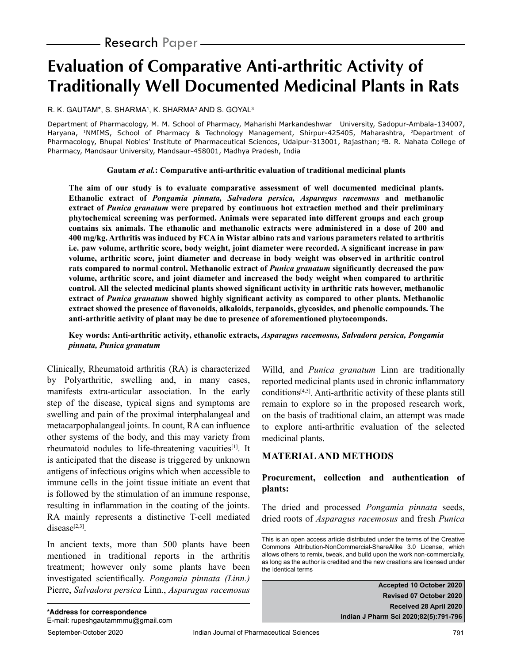# **Evaluation of Comparative Anti-arthritic Activity of Traditionally Well Documented Medicinal Plants in Rats**

R. K. GAUTAM\*, S. SHARMA', K. SHARMA<del>'</del> AND S. GOYAL<sup>3</sup>

Department of Pharmacology, M. M. School of Pharmacy, Maharishi Markandeshwar University, Sadopur-Ambala-134007, Haryana, <sup>1</sup>NMIMS, School of Pharmacy & Technology Management, Shirpur-425405, Maharashtra, <sup>2</sup>Department of Pharmacology, Bhupal Nobles' Institute of Pharmaceutical Sciences, Udaipur-313001, Rajasthan; <sup>3</sup>B. R. Nahata College of Pharmacy, Mandsaur University, Mandsaur-458001, Madhya Pradesh, India

**Gautam** *et al.***: Comparative anti-arthritic evaluation of traditional medicinal plants**

**The aim of our study is to evaluate comparative assessment of well documented medicinal plants. Ethanolic extract of** *Pongamia pinnata, Salvadora persica, Asparagus racemosus* **and methanolic extract of** *Punica granatum* **were prepared by continuous hot extraction method and their preliminary phytochemical screening was performed. Animals were separated into different groups and each group contains six animals. The ethanolic and methanolic extracts were administered in a dose of 200 and 400 mg/kg. Arthritis was induced by FCA in Wistar albino rats and various parameters related to arthritis i.e. paw volume, arthritic score, body weight, joint diameter were recorded. A significant increase in paw volume, arthritic score, joint diameter and decrease in body weight was observed in arthritic control rats compared to normal control. Methanolic extract of** *Punica granatum* **significantly decreased the paw volume, arthritic score, and joint diameter and increased the body weight when compared to arthritic control. All the selected medicinal plants showed significant activity in arthritic rats however, methanolic extract of** *Punica granatum* **showed highly significant activity as compared to other plants. Methanolic extract showed the presence of flavonoids, alkaloids, terpanoids, glycosides, and phenolic compounds. The anti-arthritic activity of plant may be due to presence of aforementioned phytocomponds.**

#### **Key words: Anti-arthritic activity, ethanolic extracts,** *Asparagus racemosus, Salvadora persica, Pongamia pinnata, Punica granatum*

Clinically, Rheumatoid arthritis (RA) is characterized by Polyarthritic, swelling and, in many cases, manifests extra-articular association. In the early step of the disease, typical signs and symptoms are swelling and pain of the proximal interphalangeal and metacarpophalangeal joints. In count, RA can influence other systems of the body, and this may variety from rheumatoid nodules to life-threatening vacuities[1]. It is anticipated that the disease is triggered by unknown antigens of infectious origins which when accessible to immune cells in the joint tissue initiate an event that is followed by the stimulation of an immune response, resulting in inflammation in the coating of the joints. RA mainly represents a distinctive T-cell mediated disease $[2,3]$ .

In ancient texts, more than 500 plants have been mentioned in traditional reports in the arthritis treatment; however only some plants have been investigated scientifically. *Pongamia pinnata (Linn.)* Pierre, *Salvadora persica* Linn., *Asparagus racemosus* Willd, and *Punica granatum* Linn are traditionally reported medicinal plants used in chronic inflammatory conditions $[4,5]$ . Anti-arthritic activity of these plants still remain to explore so in the proposed research work, on the basis of traditional claim, an attempt was made to explore anti-arthritic evaluation of the selected medicinal plants.

## **MATERIAL AND METHODS**

## **Procurement, collection and authentication of plants:**

The dried and processed *Pongamia pinnata* seeds, dried roots of *Asparagus racemosus* and fresh *Punica* 

**Accepted 10 October 2020 Revised 07 October 2020 Received 28 April 2020 Indian J Pharm Sci 2020;82(5):791-796**

This is an open access article distributed under the terms of the Creative Commons Attribution-NonCommercial-ShareAlike 3.0 License, which allows others to remix, tweak, and build upon the work non-commercially, as long as the author is credited and the new creations are licensed under the identical terms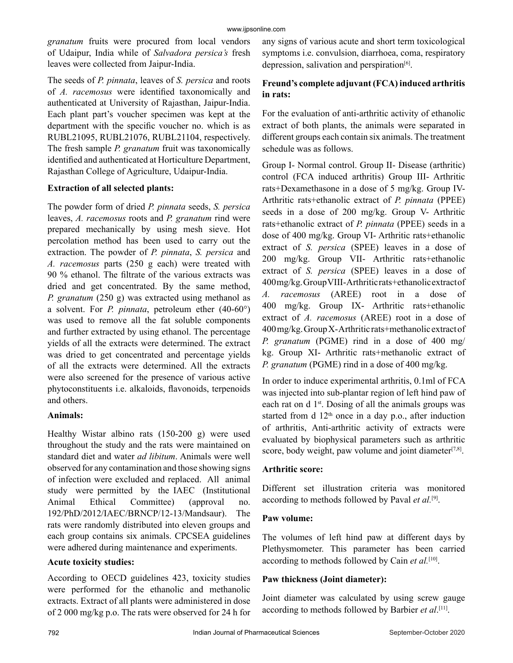*granatum* fruits were procured from local vendors of Udaipur, India while of *Salvadora persica's* fresh leaves were collected from Jaipur-India.

The seeds of *P. pinnata*, leaves of *S. persica* and roots of *A. racemosus* were identified taxonomically and authenticated at University of Rajasthan, Jaipur-India. Each plant part's voucher specimen was kept at the department with the specific voucher no. which is as RUBL21095, RUBL21076, RUBL21104, respectively. The fresh sample *P. granatum* fruit was taxonomically identified and authenticated at Horticulture Department, Rajasthan College of Agriculture, Udaipur-India.

#### **Extraction of all selected plants:**

The powder form of dried *P. pinnata* seeds, *S. persica* leaves, *A. racemosus* roots and *P. granatum* rind were prepared mechanically by using mesh sieve. Hot percolation method has been used to carry out the extraction. The powder of *P. pinnata*, *S. persica* and *A. racemosus* parts (250 g each) were treated with 90 % ethanol. The filtrate of the various extracts was dried and get concentrated. By the same method, *P. granatum* (250 g) was extracted using methanol as a solvent. For *P. pinnata*, petroleum ether (40-60°) was used to remove all the fat soluble components and further extracted by using ethanol. The percentage yields of all the extracts were determined. The extract was dried to get concentrated and percentage yields of all the extracts were determined. All the extracts were also screened for the presence of various active phytoconstituents i.e. alkaloids, flavonoids, terpenoids and others.

#### **Animals:**

Healthy Wistar albino rats (150-200 g) were used throughout the study and the rats were maintained on standard diet and water *ad libitum*. Animals were well observed for any contamination and those showing signs of infection were excluded and replaced. All animal study were permitted by the IAEC (Institutional Animal Ethical Committee) (approval no. 192/PhD/2012/IAEC/BRNCP/12-13/Mandsaur). The rats were randomly distributed into eleven groups and each group contains six animals. CPCSEA guidelines were adhered during maintenance and experiments.

#### **Acute toxicity studies:**

According to OECD guidelines 423, toxicity studies were performed for the ethanolic and methanolic extracts. Extract of all plants were administered in dose of 2 000 mg/kg p.o. The rats were observed for 24 h for any signs of various acute and short term toxicological symptoms i.e. convulsion, diarrhoea, coma, respiratory depression, salivation and perspiration<sup>[6]</sup>.

## **Freund's complete adjuvant (FCA) induced arthritis in rats:**

For the evaluation of anti-arthritic activity of ethanolic extract of both plants, the animals were separated in different groups each contain six animals. The treatment schedule was as follows.

Group I- Normal control. Group II- Disease (arthritic) control (FCA induced arthritis) Group III- Arthritic rats+Dexamethasone in a dose of 5 mg/kg. Group IV-Arthritic rats+ethanolic extract of *P. pinnata* (PPEE) seeds in a dose of 200 mg/kg. Group V- Arthritic rats+ethanolic extract of *P. pinnata* (PPEE) seeds in a dose of 400 mg/kg. Group VI- Arthritic rats+ethanolic extract of *S. persica* (SPEE) leaves in a dose of 200 mg/kg. Group VII- Arthritic rats+ethanolic extract of *S. persica* (SPEE) leaves in a dose of 400 mg/kg. Group VIII- Arthritic rats+ethanolic extract of *A. racemosus* (AREE) root in a dose of 400 mg/kg. Group IX- Arthritic rats+ethanolic extract of *A. racemosus* (AREE) root in a dose of 400 mg/kg. Group X- Arthritic rats+methanolic extract of *P. granatum* (PGME) rind in a dose of 400 mg/ kg. Group XI- Arthritic rats+methanolic extract of *P. granatum* (PGME) rind in a dose of 400 mg/kg.

In order to induce experimental arthritis, 0.1ml of FCA was injected into sub-plantar region of left hind paw of each rat on d  $1<sup>st</sup>$ . Dosing of all the animals groups was started from d  $12<sup>th</sup>$  once in a day p.o., after induction of arthritis, Anti-arthritic activity of extracts were evaluated by biophysical parameters such as arthritic score, body weight, paw volume and joint diameter $[7,8]$ .

#### **Arthritic score:**

Different set illustration criteria was monitored according to methods followed by Paval *et al.*[9].

#### **Paw volume:**

The volumes of left hind paw at different days by Plethysmometer. This parameter has been carried according to methods followed by Cain *et al.*[10].

#### **Paw thickness (Joint diameter):**

Joint diameter was calculated by using screw gauge according to methods followed by Barbier *et al*. [11].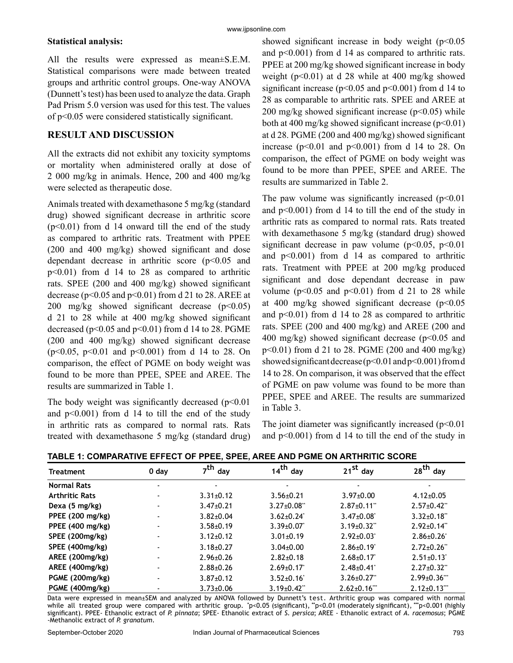#### **Statistical analysis:**

All the results were expressed as mean±S.E.M. Statistical comparisons were made between treated groups and arthritic control groups. One-way ANOVA (Dunnett's test) has been used to analyze the data. Graph Pad Prism 5.0 version was used for this test. The values of p<0.05 were considered statistically significant.

### **RESULT AND DISCUSSION**

All the extracts did not exhibit any toxicity symptoms or mortality when administered orally at dose of 2 000 mg/kg in animals. Hence, 200 and 400 mg/kg were selected as therapeutic dose.

Animals treated with dexamethasone 5 mg/kg (standard drug) showed significant decrease in arthritic score  $(p<0.01)$  from d 14 onward till the end of the study as compared to arthritic rats. Treatment with PPEE (200 and 400 mg/kg) showed significant and dose dependant decrease in arthritic score (p<0.05 and p<0.01) from d 14 to 28 as compared to arthritic rats. SPEE (200 and 400 mg/kg) showed significant decrease ( $p<0.05$  and  $p<0.01$ ) from d 21 to 28. AREE at 200 mg/kg showed significant decrease  $(p<0.05)$ d 21 to 28 while at 400 mg/kg showed significant decreased ( $p<0.05$  and  $p<0.01$ ) from d 14 to 28. PGME (200 and 400 mg/kg) showed significant decrease (p<0.05, p<0.01 and p<0.001) from d 14 to 28. On comparison, the effect of PGME on body weight was found to be more than PPEE, SPEE and AREE. The results are summarized in Table 1.

The body weight was significantly decreased  $(p<0.01$ and  $p<0.001$ ) from d 14 to till the end of the study in arthritic rats as compared to normal rats. Rats treated with dexamethasone 5 mg/kg (standard drug) showed significant increase in body weight  $(p<0.05$ and  $p<0.001$ ) from d 14 as compared to arthritic rats. PPEE at 200 mg/kg showed significant increase in body weight ( $p<0.01$ ) at d 28 while at 400 mg/kg showed significant increase ( $p<0.05$  and  $p<0.001$ ) from d 14 to 28 as comparable to arthritic rats. SPEE and AREE at 200 mg/kg showed significant increase  $(p<0.05)$  while both at 400 mg/kg showed significant increase  $(p<0.01)$ at d 28. PGME (200 and 400 mg/kg) showed significant increase ( $p<0.01$  and  $p<0.001$ ) from d 14 to 28. On comparison, the effect of PGME on body weight was found to be more than PPEE, SPEE and AREE. The results are summarized in Table 2.

The paw volume was significantly increased  $(p<0.01$ and  $p<0.001$ ) from d 14 to till the end of the study in arthritic rats as compared to normal rats. Rats treated with dexamethasone 5 mg/kg (standard drug) showed significant decrease in paw volume ( $p<0.05$ ,  $p<0.01$ ) and  $p<0.001$ ) from d 14 as compared to arthritic rats. Treatment with PPEE at 200 mg/kg produced significant and dose dependant decrease in paw volume ( $p<0.05$  and  $p<0.01$ ) from d 21 to 28 while at 400 mg/kg showed significant decrease  $(p<0.05$ and  $p<0.01$ ) from d 14 to 28 as compared to arthritic rats. SPEE (200 and 400 mg/kg) and AREE (200 and 400 mg/kg) showed significant decrease ( $p$ <0.05 and p<0.01) from d 21 to 28. PGME (200 and 400 mg/kg) showed significant decrease (p<0.01 and p<0.001) from d 14 to 28. On comparison, it was observed that the effect of PGME on paw volume was found to be more than PPEE, SPEE and AREE. The results are summarized in Table 3.

The joint diameter was significantly increased  $(p<0.01$ and  $p<0.001$ ) from d 14 to till the end of the study in

| <u>IADEE T. COMFANATIVE EIT ECT OF FFEE, OFEE, ANEL AND FOME ON ANTIINITIC SCONE</u> |         |                     |                         |                              |                     |  |
|--------------------------------------------------------------------------------------|---------|---------------------|-------------------------|------------------------------|---------------------|--|
| <b>Treatment</b>                                                                     | $0$ day | 7 <sup>th</sup> day | $14th$ day              | $21^{st}$ day                | $28th$ day          |  |
| <b>Normal Rats</b>                                                                   |         |                     |                         |                              |                     |  |
| <b>Arthritic Rats</b>                                                                |         | $3.31 \pm 0.12$     | $3.56 \pm 0.21$         | $3.97 \pm 0.00$              | $4.12 \pm 0.05$     |  |
| Dexa (5 mg/kg)                                                                       |         | $3.47 \pm 0.21$     | $3.27 \pm 0.08$ "       | $2.87 \pm 0.11$ "            | $2.57 \pm 0.42$ "   |  |
| PPEE (200 mg/kg)                                                                     |         | $3.82 \pm 0.04$     | $3.62 \pm 0.24$         | $3.47 \pm 0.08$ <sup>*</sup> | $3.32 \pm 0.18$ "   |  |
| PPEE (400 mg/kg)                                                                     |         | $3.58 + 0.19$       | $3.39 \pm 0.07$         | $3.19 \pm 0.32$ "            | $2.92 \pm 0.14$ "   |  |
| SPEE (200mg/kg)                                                                      |         | $3.12 \pm 0.12$     | $3.01 \pm 0.19$         | $2.92 \pm 0.03$              | $2.86 \pm 0.26$     |  |
| SPEE (400mg/kg)                                                                      |         | $3.18 \pm 0.27$     | $3.04 \pm 0.00$         | $2.86 \pm 0.19$              | $2.72 \pm 0.26$ "   |  |
| AREE (200mg/kg)                                                                      |         | $2.96 \pm 0.26$     | $2.82 \pm 0.18$         | $2.68 \pm 0.17$              | $2.51 \pm 0.13$     |  |
| AREE (400mg/kg)                                                                      |         | $2.88 + 0.26$       | $2.69 \pm 0.17$         | $2.48 \pm 0.41$              | $2.27 \pm 0.32$ "   |  |
| PGME (200mg/kg)                                                                      |         | $3.87 \pm 0.12$     | $3.52 \pm 0.16^{\circ}$ | $3.26 \pm 0.27$ "            | $2.99 \pm 0.36$ *** |  |
| PGME (400mg/kg)                                                                      |         | $3.73 \pm 0.06$     | $3.19 \pm 0.42$ "       | $2.62 \pm 0.16$ ***          | $2.12 \pm 0.13$ *** |  |

**TABLE 1: COMPARATIVE EFFECT OF PPEE, SPEE, AREE AND PGME ON ARTHRITIC SCORE**

Data were expressed in mean±SEM and analyzed by ANOVA followed by Dunnett's test. Arthritic group was compared with normal while all treated group were compared with arthritic group. **\*** p<0.05 (significant), **\*\***p<0.01 (moderately significant), **\*\*\***p<0.001 (highly significant). PPEE- Ethanolic extract of *P. pinnata*; SPEE- Ethanolic extract of *S. persica*; AREE - Ethanolic extract of *A. racemosus*; PGME -Methanolic extract of *P. granatum*.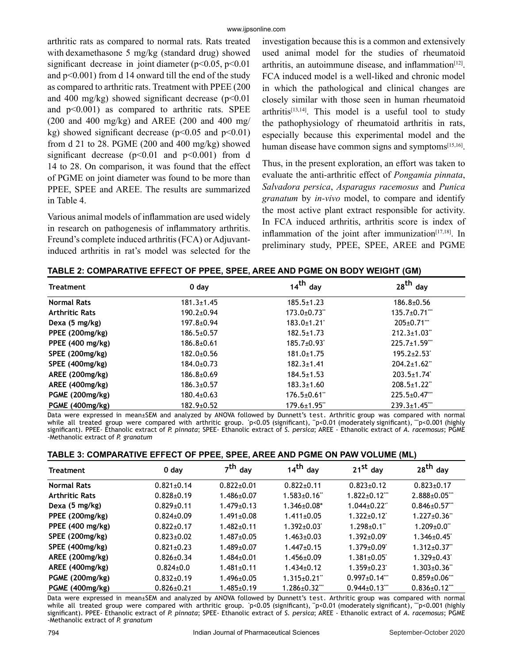arthritic rats as compared to normal rats. Rats treated with dexamethasone 5 mg/kg (standard drug) showed significant decrease in joint diameter ( $p$ <0.05,  $p$ <0.01 and p<0.001) from d 14 onward till the end of the study as compared to arthritic rats. Treatment with PPEE (200 and 400 mg/kg) showed significant decrease  $(p<0.01$ and  $p<0.001$ ) as compared to arthritic rats. SPEE  $(200 \text{ and } 400 \text{ mg/kg})$  and AREE  $(200 \text{ and } 400 \text{ mg/s})$ kg) showed significant decrease ( $p<0.05$  and  $p<0.01$ ) from d 21 to 28. PGME  $(200 \text{ and } 400 \text{ mg/kg})$  showed significant decrease  $(p<0.01$  and  $p<0.001$ ) from d 14 to 28. On comparison, it was found that the effect of PGME on joint diameter was found to be more than PPEE, SPEE and AREE. The results are summarized in Table 4.

Various animal models of inflammation are used widely in research on pathogenesis of inflammatory arthritis. Freund's complete induced arthritis (FCA) or Adjuvantinduced arthritis in rat's model was selected for the investigation because this is a common and extensively used animal model for the studies of rheumatoid arthritis, an autoimmune disease, and inflammation $[12]$ . FCA induced model is a well-liked and chronic model in which the pathological and clinical changes are closely similar with those seen in human rheumatoid  $arthritis^{[13,14]}$ . This model is a useful tool to study the pathophysiology of rheumatoid arthritis in rats, especially because this experimental model and the human disease have common signs and symptoms<sup>[15,16]</sup>.

Thus, in the present exploration, an effort was taken to evaluate the anti-arthritic effect of *Pongamia pinnata*, *Salvadora persica*, *Asparagus racemosus* and *Punica granatum* by *in-vivo* model, to compare and identify the most active plant extract responsible for activity. In FCA induced arthritis, arthritis score is index of inflammation of the joint after immunization $[17,18]$ . In preliminary study, PPEE, SPEE, AREE and PGME

| <b>Treatment</b>      | $0$ day          | $14^{th}$ day      | $28th$ day                     |
|-----------------------|------------------|--------------------|--------------------------------|
| <b>Normal Rats</b>    | $181.3 \pm 1.45$ | $185.5 \pm 1.23$   | $186.8{\pm}0.56$               |
| <b>Arthritic Rats</b> | $190.2 \pm 0.94$ | $173.0 \pm 0.73$ " | $135.7 \pm 0.71$ ***           |
| Dexa (5 mg/kg)        | 197.8±0.94       | $183.0 \pm 1.21$   | $205 \pm 0.71$                 |
| PPEE (200mg/kg)       | $186.5 \pm 0.57$ | $182.5 \pm 1.73$   | $212.3 \pm 1.03$               |
| PPEE (400 mg/kg)      | $186.8{\pm}0.61$ | $185.7 \pm 0.93$   | $225.7 \pm 1.59$ ***           |
| SPEE (200mg/kg)       | 182.0±0.56       | $181.0 \pm 1.75$   | $195.2 \pm 2.53$ <sup>*</sup>  |
| SPEE (400mg/kg)       | $184.0 \pm 0.73$ | $182.3 \pm 1.41$   | $204.2 \pm 1.62$ <sup>**</sup> |
| AREE (200mg/kg)       | $186.8{\pm}0.69$ | $184.5 \pm 1.53$   | $203.5 \pm 1.74$               |
| AREE (400mg/kg)       | $186.3 \pm 0.57$ | $183.3 \pm 1.60$   | $208.5 \pm 1.22$               |
| PGME (200mg/kg)       | $180.4 \pm 0.63$ | $176.5 \pm 0.61$ " | $225.5 \pm 0.47$ ***           |
| PGME (400mg/kg)       | $182.9 \pm 0.52$ | $179.6 \pm 1.95$ " | $239.3 \pm 1.45$               |

**TABLE 2: COMPARATIVE EFFECT OF PPEE, SPEE, AREE AND PGME ON BODY WEIGHT (GM)**

Data were expressed in mean±SEM and analyzed by ANOVA followed by Dunnett's test. Arthritic group was compared with normal while all treated group were compared with arthritic group. `p<0.05 (significant), ``p<0.01 (moderately significant), ```p<0.001 (highly significant). PPEE- Ethanolic extract of *P. pinnata*; SPEE- Ethanolic extract of *S. persica*; AREE - Ethanolic extract of *A. racemosus*; PGME -Methanolic extract of *P. granatum*

|  | TABLE 3: COMPARATIVE EFFECT OF PPEE, SPEE, AREE AND PGME ON PAW VOLUME (ML) |  |
|--|-----------------------------------------------------------------------------|--|
|--|-----------------------------------------------------------------------------|--|

| <b>Treatment</b>      | $0$ day          | 7 <sup>th</sup> day | $14th$ day                     | $21^{st}$ day                 | 28 <sup>th</sup> day           |
|-----------------------|------------------|---------------------|--------------------------------|-------------------------------|--------------------------------|
| <b>Normal Rats</b>    | $0.821 \pm 0.14$ | $0.822 \pm 0.01$    | $0.822 \pm 0.11$               | $0.823 \pm 0.12$              | $0.823 \pm 0.17$               |
| <b>Arthritic Rats</b> | $0.828 \pm 0.19$ | $1.486 \pm 0.07$    | $1.583 \pm 0.16$ "             | $1.822 \pm 0.12$ ***          | $2.888 \pm 0.05$ ***           |
| Dexa (5 mg/kg)        | $0.829 \pm 0.11$ | $1.479 \pm 0.13$    | $1.346 \pm 0.08^*$             | $1.044 \pm 0.22$ <sup>*</sup> | $0.846 \pm 0.57$               |
| PPEE (200mg/kg)       | $0.824 \pm 0.09$ | $1.491 \pm 0.08$    | $1.411 \pm 0.05$               | $1.322 \pm 0.12$              | $1.227 \pm 0.36$ "             |
| PPEE (400 mg/kg)      | $0.822 \pm 0.17$ | $1.482 \pm 0.11$    | $1.392 \pm 0.03$ <sup>*</sup>  | $1.298 \pm 0.1$ "             | $1.209 \pm 0.0$ "              |
| SPEE (200mg/kg)       | $0.823 \pm 0.02$ | $1.487 \pm 0.05$    | $1.463 \pm 0.03$               | $1.392 \pm 0.09$              | $1.346 \pm 0.45$               |
| SPEE (400mg/kg)       | $0.821 \pm 0.23$ | $1.489 \pm 0.07$    | $1.447 \pm 0.15$               | $1.379 \pm 0.09$ <sup>*</sup> | $1.312 \pm 0.37$ "             |
| AREE (200mg/kg)       | $0.826 \pm 0.34$ | $1.484 \pm 0.01$    | $1.456 \pm 0.09$               | $1.381 \pm 0.05$              | $1.329 \pm 0.43$               |
| AREE (400mg/kg)       | $0.824 \pm 0.0$  | $1.481 \pm 0.11$    | $1.434 \pm 0.12$               | $1.359 \pm 0.23$              | $1.303 \pm 0.36$ <sup>**</sup> |
| PGME (200mg/kg)       | $0.832{\pm}0.19$ | $1.496 \pm 0.05$    | $1.315 \pm 0.21$ <sup>**</sup> | $0.997 \pm 0.14$ ***          | $0.859 \pm 0.06$ ***           |
| PGME (400mg/kg)       | $0.826 \pm 0.21$ | $1.485 \pm 0.19$    | $1.286 \pm 0.32$ ***           | $0.944 \pm 0.13$              | $0.836 \pm 0.12$               |

Data were expressed in mean±SEM and analyzed by ANOVA followed by Dunnett's test. Arthritic group was compared with normal while all treated group were compared with arthritic group. \*p<0.05 (significant), \*p<0.01 (moderately significant), \*\*p<0.001 (highly significant). PPEE- Ethanolic extract of *P. pinnata*; SPEE- Ethanolic extract of *S. persica*; AREE - Ethanolic extract of *A. racemosus*; PGME -Methanolic extract of *P. granatum*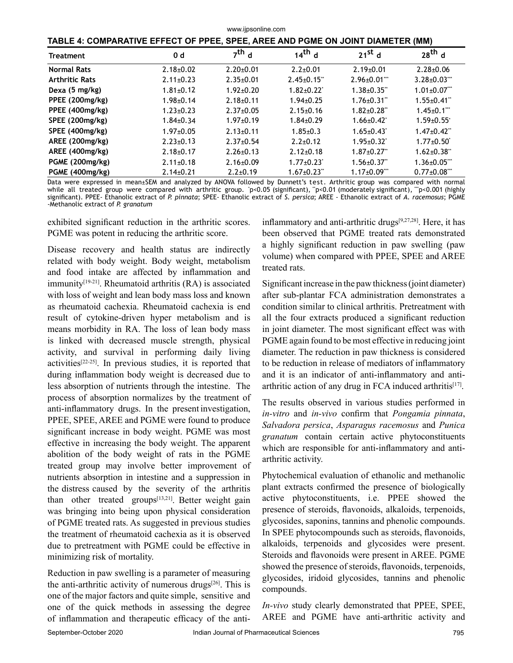| www.ijpsonline.com                                                              |                 |                 |                    |                              |                              |
|---------------------------------------------------------------------------------|-----------------|-----------------|--------------------|------------------------------|------------------------------|
| TABLE 4: COMPARATIVE EFFECT OF PPEE, SPEE, AREE AND PGME ON JOINT DIAMETER (MM) |                 |                 |                    |                              |                              |
| <b>Treatment</b>                                                                | 0 <sub>d</sub>  | $7th$ d         | $14^{\text{th}}$ d | $21^{st}$ d                  | $28th$ d                     |
| <b>Normal Rats</b>                                                              | $2.18 \pm 0.02$ | $2.20 \pm 0.01$ | $2.2 \pm 0.01$     | $2.19 \pm 0.01$              | $2.28 \pm 0.06$              |
| <b>Arthritic Rats</b>                                                           | $2.11 \pm 0.23$ | $2.35 \pm 0.01$ | $2.45 \pm 0.15$ ** | $2.96 \pm 0.01$              | $3.28 \pm 0.03$ "            |
| Dexa (5 mg/kg)                                                                  | $1.81 \pm 0.12$ | $1.92 \pm 0.20$ | $1.82 \pm 0.22$    | $1.38 \pm 0.35$ "            | $1.01 \pm 0.07$              |
| PPEE (200mg/kg)                                                                 | $1.98 + 0.14$   | $2.18+0.11$     | $1.94 \pm 0.25$    | $1.76 \pm 0.31$ "            | $1.55 \pm 0.41$ "            |
| PPEE (400mg/kg)                                                                 | $1.23 \pm 0.23$ | $2.37 \pm 0.05$ | $2.15 \pm 0.16$    | $1.82 \pm 0.28$              | $1.45 \pm 0.1$               |
| SPEE (200mg/kg)                                                                 | $1.84 \pm 0.34$ | $1.97 \pm 0.19$ | $1.84 \pm 0.29$    | $1.66 \pm 0.42$              | $1.59 \pm 0.55$ <sup>*</sup> |
| SPEE (400mg/kg)                                                                 | $1.97 \pm 0.05$ | $2.13 \pm 0.11$ | $1.85 \pm 0.3$     | $1.65 \pm 0.43$              | $1.47 \pm 0.42$ "            |
| AREE (200mg/kg)                                                                 | $2.23 \pm 0.13$ | $2.37 \pm 0.54$ | $2.2 + 0.12$       | $1.95 \pm 0.32$ <sup>*</sup> | $1.77 \pm 0.50$              |
| AREE (400mg/kg)                                                                 | $2.18 \pm 0.17$ | $2.26 \pm 0.13$ | $2.12 \pm 0.18$    | $1.87 \pm 0.27$ "            | $1.62 \pm 0.38$ "            |
| PGME (200mg/kg)                                                                 | $2.11 \pm 0.18$ | $2.16 \pm 0.09$ | $1.77 \pm 0.23$    | $1.56 \pm 0.37$ "            | $1.36 \pm 0.05$              |
| PGME (400mg/kg)                                                                 | $2.14 \pm 0.21$ | $2.2 \pm 0.19$  | $1.67 \pm 0.23$    | $1.17 \pm 0.09$ ***          | $0.77 \pm 0.08$ ***          |

Data were expressed in mean±SEM and analyzed by ANOVA followed by Dunnett's test. Arthritic group was compared with normal while all treated group were compared with arthritic group. 'p<0.05 (significant), "p<0.01 (moderately significant), "'p<0.001 (highly significant). PPEE- Ethanolic extract of *P. pinnata*; SPEE- Ethanolic extract of *S. persica*; AREE - Ethanolic extract of *A. racemosus*; PGME -Methanolic extract of *P. granatum*

exhibited significant reduction in the arthritic scores. PGME was potent in reducing the arthritic score.

Disease recovery and health status are indirectly related with body weight. Body weight, metabolism and food intake are affected by inflammation and immunity<sup>[19-21]</sup>. Rheumatoid arthritis (RA) is associated with loss of weight and lean body mass loss and known as rheumatoid cachexia. Rheumatoid cachexia is end result of cytokine-driven hyper metabolism and is means morbidity in RA. The loss of lean body mass is linked with decreased muscle strength, physical activity, and survival in performing daily living  $\arct{a}$  activities<sup>[22-25]</sup>. In previous studies, it is reported that during inflammation body weight is decreased due to less absorption of nutrients through the intestine. The process of absorption normalizes by the treatment of anti-inflammatory drugs. In the present investigation, PPEE, SPEE, AREE and PGME were found to produce significant increase in body weight. PGME was most effective in increasing the body weight. The apparent abolition of the body weight of rats in the PGME treated group may involve better improvement of nutrients absorption in intestine and a suppression in the distress caused by the severity of the arthritis than other treated groups<sup>[13,21]</sup>. Better weight gain was bringing into being upon physical consideration of PGME treated rats. As suggested in previous studies the treatment of rheumatoid cachexia as it is observed due to pretreatment with PGME could be effective in minimizing risk of mortality.

Reduction in paw swelling is a parameter of measuring the anti-arthritic activity of numerous drugs<sup>[26]</sup>. This is one of the major factors and quite simple, sensitive and one of the quick methods in assessing the degree of inflammation and therapeutic efficacy of the antiinflammatory and anti-arthritic drugs[9,27,28]. Here, it has been observed that PGME treated rats demonstrated a highly significant reduction in paw swelling (paw volume) when compared with PPEE, SPEE and AREE treated rats.

Significant increase in the paw thickness (joint diameter) after sub-plantar FCA administration demonstrates a condition similar to clinical arthritis. Pretreatment with all the four extracts produced a significant reduction in joint diameter. The most significant effect was with PGME again found to be most effective in reducing joint diameter. The reduction in paw thickness is considered to be reduction in release of mediators of inflammatory and it is an indicator of anti-inflammatory and antiarthritic action of any drug in FCA induced arthritis $[17]$ .

The results observed in various studies performed in *in-vitro* and *in-vivo* confirm that *Pongamia pinnata*, *Salvadora persica*, *Asparagus racemosus* and *Punica granatum* contain certain active phytoconstituents which are responsible for anti-inflammatory and antiarthritic activity.

Phytochemical evaluation of ethanolic and methanolic plant extracts confirmed the presence of biologically active phytoconstituents, i.e. PPEE showed the presence of steroids, flavonoids, alkaloids, terpenoids, glycosides, saponins, tannins and phenolic compounds. In SPEE phytocompounds such as steroids, flavonoids, alkaloids, terpenoids and glycosides were present. Steroids and flavonoids were present in AREE. PGME showed the presence of steroids, flavonoids, terpenoids, glycosides, iridoid glycosides, tannins and phenolic compounds.

*In-vivo* study clearly demonstrated that PPEE, SPEE, AREE and PGME have anti-arthritic activity and